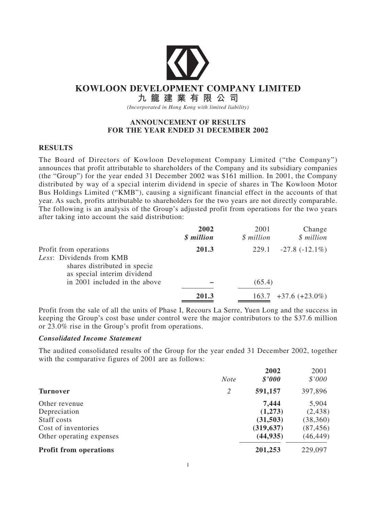

# **KOWLOON DEVELOPMENT COMPANY LIMITED**

**九 龍 建 業 有 限 公 司**

*(Incorporated in Hong Kong with limited liability)*

### **ANNOUNCEMENT OF RESULTS FOR THE YEAR ENDED 31 DECEMBER 2002**

### **RESULTS**

The Board of Directors of Kowloon Development Company Limited ("the Company") announces that profit attributable to shareholders of the Company and its subsidiary companies (the "Group") for the year ended 31 December 2002 was \$161 million. In 2001, the Company distributed by way of a special interim dividend in specie of shares in The Kowloon Motor Bus Holdings Limited ("KMB"), causing a significant financial effect in the accounts of that year. As such, profits attributable to shareholders for the two years are not directly comparable. The following is an analysis of the Group's adjusted profit from operations for the two years after taking into account the said distribution:

|                                                                                         | 2002<br>\$ million | 2001<br>\$ million | Change<br>\$ million     |
|-----------------------------------------------------------------------------------------|--------------------|--------------------|--------------------------|
| Profit from operations                                                                  | 201.3              | 229.1              | $-27.8$ ( $-12.1\%$ )    |
| Less: Dividends from KMB<br>shares distributed in specie<br>as special interim dividend |                    |                    |                          |
| in 2001 included in the above                                                           |                    | (65.4)             |                          |
|                                                                                         | 201.3              |                    | $163.7 + 37.6 + 23.0\%)$ |

Profit from the sale of all the units of Phase I, Recours La Serre, Yuen Long and the success in keeping the Group's cost base under control were the major contributors to the \$37.6 million or 23.0% rise in the Group's profit from operations.

### *Consolidated Income Statement*

The audited consolidated results of the Group for the year ended 31 December 2002, together with the comparative figures of 2001 are as follows:

|                               | <b>Note</b> | 2002<br>$$^{\prime}000$ | 2001<br>\$'000 |
|-------------------------------|-------------|-------------------------|----------------|
| <b>Turnover</b>               | 2           | 591,157                 | 397,896        |
| Other revenue                 |             | 7,444                   | 5,904          |
| Depreciation                  |             | (1,273)                 | (2, 438)       |
| Staff costs                   |             | (31,503)                | (38, 360)      |
| Cost of inventories           |             | (319, 637)              | (87, 456)      |
| Other operating expenses      |             | (44, 935)               | (46, 449)      |
| <b>Profit from operations</b> |             | 201,253                 | 229,097        |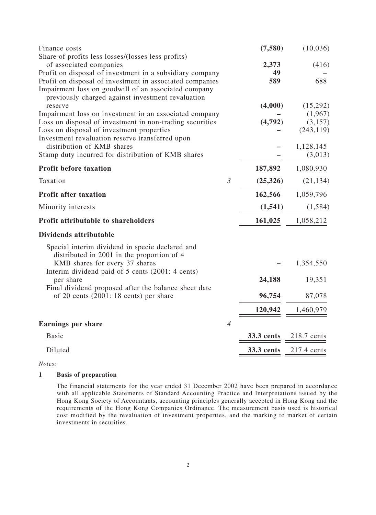| Finance costs                                                                                                                                                                       |                | (7,580)    | (10,036)    |
|-------------------------------------------------------------------------------------------------------------------------------------------------------------------------------------|----------------|------------|-------------|
| Share of profits less losses/(losses less profits)<br>of associated companies                                                                                                       |                | 2,373      | (416)       |
| Profit on disposal of investment in a subsidiary company                                                                                                                            |                | 49         |             |
| Profit on disposal of investment in associated companies<br>Impairment loss on goodwill of an associated company<br>previously charged against investment revaluation               |                | 589        | 688         |
| reserve                                                                                                                                                                             |                | (4,000)    | (15,292)    |
| Impairment loss on investment in an associated company                                                                                                                              |                |            | (1,967)     |
| Loss on disposal of investment in non-trading securities                                                                                                                            |                | (4,792)    | (3,157)     |
| Loss on disposal of investment properties<br>Investment revaluation reserve transferred upon                                                                                        |                |            | (243, 119)  |
| distribution of KMB shares                                                                                                                                                          |                |            | 1,128,145   |
| Stamp duty incurred for distribution of KMB shares                                                                                                                                  |                |            | (3,013)     |
| <b>Profit before taxation</b>                                                                                                                                                       |                | 187,892    | 1,080,930   |
| Taxation                                                                                                                                                                            | $\mathfrak{Z}$ | (25,326)   | (21, 134)   |
| <b>Profit after taxation</b>                                                                                                                                                        |                | 162,566    | 1,059,796   |
| Minority interests                                                                                                                                                                  |                | (1, 541)   | (1, 584)    |
| <b>Profit attributable to shareholders</b>                                                                                                                                          |                | 161,025    | 1,058,212   |
| Dividends attributable                                                                                                                                                              |                |            |             |
| Special interim dividend in specie declared and<br>distributed in 2001 in the proportion of 4<br>KMB shares for every 37 shares<br>Interim dividend paid of 5 cents (2001: 4 cents) |                |            | 1,354,550   |
| per share                                                                                                                                                                           |                | 24,188     | 19,351      |
| Final dividend proposed after the balance sheet date                                                                                                                                |                |            |             |
| of 20 cents (2001: 18 cents) per share                                                                                                                                              |                | 96,754     | 87,078      |
|                                                                                                                                                                                     |                | 120,942    | 1,460,979   |
| <b>Earnings per share</b>                                                                                                                                                           | $\overline{4}$ |            |             |
| <b>Basic</b>                                                                                                                                                                        |                | 33.3 cents | 218.7 cents |
| Diluted                                                                                                                                                                             |                | 33.3 cents | 217.4 cents |
|                                                                                                                                                                                     |                |            |             |

*Notes:*

#### **1 Basis of preparation**

The financial statements for the year ended 31 December 2002 have been prepared in accordance with all applicable Statements of Standard Accounting Practice and Interpretations issued by the Hong Kong Society of Accountants, accounting principles generally accepted in Hong Kong and the requirements of the Hong Kong Companies Ordinance. The measurement basis used is historical cost modified by the revaluation of investment properties, and the marking to market of certain investments in securities.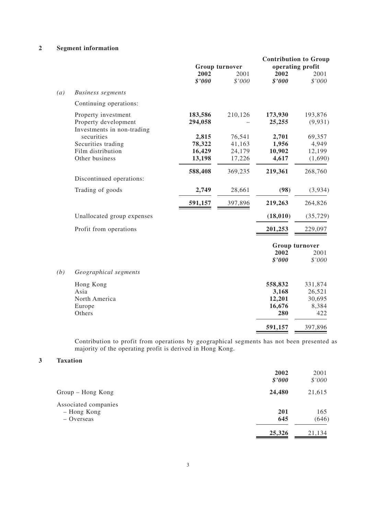### **2 Segment information**

|     |                                                                           | <b>Group turnover</b>     |                            | <b>Contribution to Group</b><br>operating profit |                                             |
|-----|---------------------------------------------------------------------------|---------------------------|----------------------------|--------------------------------------------------|---------------------------------------------|
|     |                                                                           | 2002<br>\$'000            | 2001<br>\$'000             | 2002<br>\$'000                                   | 2001<br>\$'000                              |
| (a) | <b>Business segments</b>                                                  |                           |                            |                                                  |                                             |
|     | Continuing operations:                                                    |                           |                            |                                                  |                                             |
|     | Property investment<br>Property development<br>Investments in non-trading | 183,586<br>294,058        | 210,126                    | 173,930<br>25,255                                | 193,876<br>(9,931)                          |
|     | securities<br>Securities trading<br>Film distribution                     | 2,815<br>78,322<br>16,429 | 76,541<br>41,163<br>24,179 | 2,701<br>1,956<br>10,902                         | 69,357<br>4,949<br>12,199                   |
|     | Other business                                                            | 13,198                    | 17,226                     | 4,617                                            | (1,690)                                     |
|     | Discontinued operations:                                                  | 588,408                   | 369,235                    | 219,361                                          | 268,760                                     |
|     | Trading of goods                                                          | 2,749                     | 28,661                     | (98)                                             | (3,934)                                     |
|     |                                                                           | 591,157                   | 397,896                    | 219,263                                          | 264,826                                     |
|     | Unallocated group expenses                                                |                           |                            | (18,010)                                         | (35, 729)                                   |
|     | Profit from operations                                                    |                           |                            | 201,253                                          | 229,097                                     |
|     |                                                                           |                           |                            | <b>Group turnover</b>                            |                                             |
|     |                                                                           |                           |                            | 2002<br>\$'000                                   | 2001<br>$$'000$                             |
| (b) | Geographical segments                                                     |                           |                            |                                                  |                                             |
|     | Hong Kong<br>Asia<br>North America<br>Europe<br>Others                    |                           |                            | 558,832<br>3,168<br>12,201<br>16,676<br>280      | 331,874<br>26,521<br>30,695<br>8,384<br>422 |
|     |                                                                           |                           |                            | 591,157                                          | 397,896                                     |
|     |                                                                           |                           |                            |                                                  |                                             |

Contribution to profit from operations by geographical segments has not been presented as majority of the operating profit is derived in Hong Kong.

#### **3 Taxation**

|                                                     | 2002<br>\$'000 | 2001<br>\$'000 |
|-----------------------------------------------------|----------------|----------------|
| Group – Hong Kong                                   | 24,480         | 21,615         |
| Associated companies<br>- Hong Kong<br>$-$ Overseas | 201<br>645     | 165<br>(646)   |
|                                                     | 25,326         | 21,134         |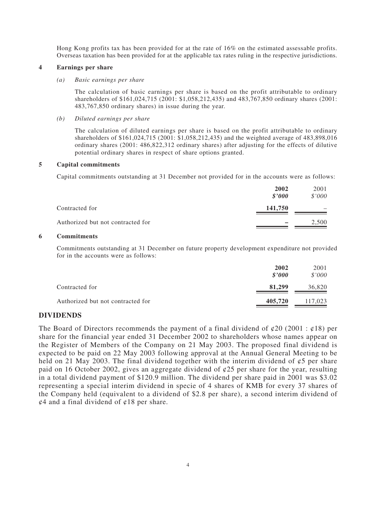Hong Kong profits tax has been provided for at the rate of 16% on the estimated assessable profits. Overseas taxation has been provided for at the applicable tax rates ruling in the respective jurisdictions.

#### **4 Earnings per share**

#### *(a) Basic earnings per share*

The calculation of basic earnings per share is based on the profit attributable to ordinary shareholders of \$161,024,715 (2001: \$1,058,212,435) and 483,767,850 ordinary shares (2001: 483,767,850 ordinary shares) in issue during the year.

#### *(b) Diluted earnings per share*

The calculation of diluted earnings per share is based on the profit attributable to ordinary shareholders of \$161,024,715 (2001: \$1,058,212,435) and the weighted average of 483,898,016 ordinary shares (2001: 486,822,312 ordinary shares) after adjusting for the effects of dilutive potential ordinary shares in respect of share options granted.

#### **5 Capital commitments**

Capital commitments outstanding at 31 December not provided for in the accounts were as follows:

|                                   | 2002<br>\$2000 | 2001<br>\$'000 |
|-----------------------------------|----------------|----------------|
| Contracted for                    | 141,750        |                |
| Authorized but not contracted for |                | 2,500          |

#### **6 Commitments**

Commitments outstanding at 31 December on future property development expenditure not provided for in the accounts were as follows:

|                                   | 2002<br>\$2000 | 2001<br>\$'000 |
|-----------------------------------|----------------|----------------|
| Contracted for                    | 81,299         | 36,820         |
| Authorized but not contracted for | 405,720        | 117,023        |

### **DIVIDENDS**

The Board of Directors recommends the payment of a final dividend of  $\varphi$ 20 (2001 :  $\varphi$ 18) per share for the financial year ended 31 December 2002 to shareholders whose names appear on the Register of Members of the Company on 21 May 2003. The proposed final dividend is expected to be paid on 22 May 2003 following approval at the Annual General Meeting to be held on 21 May 2003. The final dividend together with the interim dividend of  $\varphi$ 5 per share paid on 16 October 2002, gives an aggregate dividend of  $\varphi$ 25 per share for the year, resulting in a total dividend payment of \$120.9 million. The dividend per share paid in 2001 was \$3.02 representing a special interim dividend in specie of 4 shares of KMB for every 37 shares of the Company held (equivalent to a dividend of \$2.8 per share), a second interim dividend of  $\varphi$ 4 and a final dividend of  $\varphi$ 18 per share.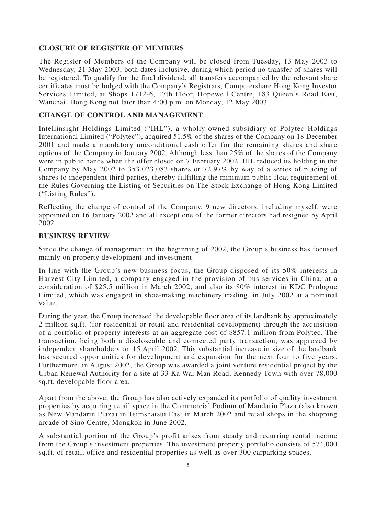## **CLOSURE OF REGISTER OF MEMBERS**

The Register of Members of the Company will be closed from Tuesday, 13 May 2003 to Wednesday, 21 May 2003, both dates inclusive, during which period no transfer of shares will be registered. To qualify for the final dividend, all transfers accompanied by the relevant share certificates must be lodged with the Company's Registrars, Computershare Hong Kong Investor Services Limited, at Shops 1712-6, 17th Floor, Hopewell Centre, 183 Queen's Road East, Wanchai, Hong Kong not later than 4:00 p.m. on Monday, 12 May 2003.

## **CHANGE OF CONTROL AND MANAGEMENT**

Intellinsight Holdings Limited ("IHL"), a wholly-owned subsidiary of Polytec Holdings International Limited ("Polytec"), acquired 51.5% of the shares of the Company on 18 December 2001 and made a mandatory unconditional cash offer for the remaining shares and share options of the Company in January 2002. Although less than 25% of the shares of the Company were in public hands when the offer closed on 7 February 2002, IHL reduced its holding in the Company by May 2002 to 353,023,083 shares or 72.97% by way of a series of placing of shares to independent third parties, thereby fulfilling the minimum public float requirement of the Rules Governing the Listing of Securities on The Stock Exchange of Hong Kong Limited ("Listing Rules").

Reflecting the change of control of the Company, 9 new directors, including myself, were appointed on 16 January 2002 and all except one of the former directors had resigned by April 2002.

## **BUSINESS REVIEW**

Since the change of management in the beginning of 2002, the Group's business has focused mainly on property development and investment.

In line with the Group's new business focus, the Group disposed of its 50% interests in Harvest City Limited, a company engaged in the provision of bus services in China, at a consideration of \$25.5 million in March 2002, and also its 80% interest in KDC Prologue Limited, which was engaged in shoe-making machinery trading, in July 2002 at a nominal value.

During the year, the Group increased the developable floor area of its landbank by approximately 2 million sq.ft. (for residential or retail and residential development) through the acquisition of a portfolio of property interests at an aggregate cost of \$857.1 million from Polytec. The transaction, being both a discloseable and connected party transaction, was approved by independent shareholders on 15 April 2002. This substantial increase in size of the landbank has secured opportunities for development and expansion for the next four to five years. Furthermore, in August 2002, the Group was awarded a joint venture residential project by the Urban Renewal Authority for a site at 33 Ka Wai Man Road, Kennedy Town with over 78,000 sq.ft. developable floor area.

Apart from the above, the Group has also actively expanded its portfolio of quality investment properties by acquiring retail space in the Commercial Podium of Mandarin Plaza (also known as New Mandarin Plaza) in Tsimshatsui East in March 2002 and retail shops in the shopping arcade of Sino Centre, Mongkok in June 2002.

A substantial portion of the Group's profit arises from steady and recurring rental income from the Group's investment properties. The investment property portfolio consists of 574,000 sq.ft. of retail, office and residential properties as well as over 300 carparking spaces.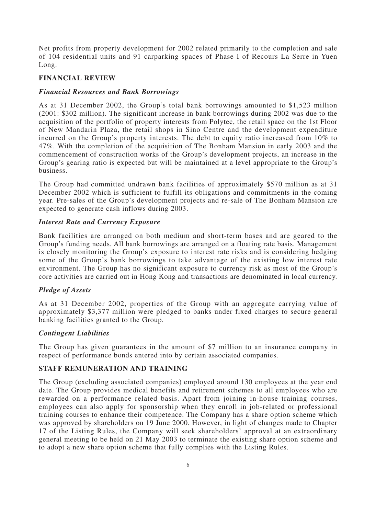Net profits from property development for 2002 related primarily to the completion and sale of 104 residential units and 91 carparking spaces of Phase I of Recours La Serre in Yuen Long.

## **FINANCIAL REVIEW**

## *Financial Resources and Bank Borrowings*

As at 31 December 2002, the Group's total bank borrowings amounted to \$1,523 million (2001: \$302 million). The significant increase in bank borrowings during 2002 was due to the acquisition of the portfolio of property interests from Polytec, the retail space on the 1st Floor of New Mandarin Plaza, the retail shops in Sino Centre and the development expenditure incurred on the Group's property interests. The debt to equity ratio increased from 10% to 47%. With the completion of the acquisition of The Bonham Mansion in early 2003 and the commencement of construction works of the Group's development projects, an increase in the Group's gearing ratio is expected but will be maintained at a level appropriate to the Group's business.

The Group had committed undrawn bank facilities of approximately \$570 million as at 31 December 2002 which is sufficient to fulfill its obligations and commitments in the coming year. Pre-sales of the Group's development projects and re-sale of The Bonham Mansion are expected to generate cash inflows during 2003.

## *Interest Rate and Currency Exposure*

Bank facilities are arranged on both medium and short-term bases and are geared to the Group's funding needs. All bank borrowings are arranged on a floating rate basis. Management is closely monitoring the Group's exposure to interest rate risks and is considering hedging some of the Group's bank borrowings to take advantage of the existing low interest rate environment. The Group has no significant exposure to currency risk as most of the Group's core activities are carried out in Hong Kong and transactions are denominated in local currency.

## *Pledge of Assets*

As at 31 December 2002, properties of the Group with an aggregate carrying value of approximately \$3,377 million were pledged to banks under fixed charges to secure general banking facilities granted to the Group.

## *Contingent Liabilities*

The Group has given guarantees in the amount of \$7 million to an insurance company in respect of performance bonds entered into by certain associated companies.

## **STAFF REMUNERATION AND TRAINING**

The Group (excluding associated companies) employed around 130 employees at the year end date. The Group provides medical benefits and retirement schemes to all employees who are rewarded on a performance related basis. Apart from joining in-house training courses, employees can also apply for sponsorship when they enroll in job-related or professional training courses to enhance their competence. The Company has a share option scheme which was approved by shareholders on 19 June 2000. However, in light of changes made to Chapter 17 of the Listing Rules, the Company will seek shareholders' approval at an extraordinary general meeting to be held on 21 May 2003 to terminate the existing share option scheme and to adopt a new share option scheme that fully complies with the Listing Rules.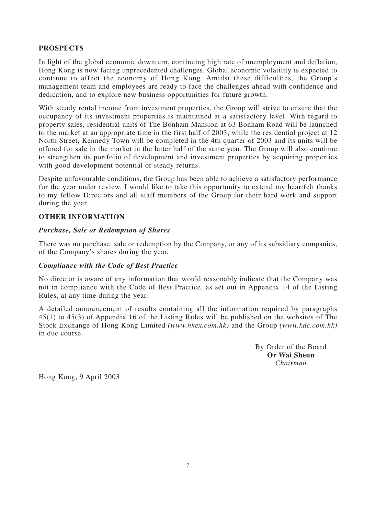### **PROSPECTS**

In light of the global economic downturn, continuing high rate of unemployment and deflation, Hong Kong is now facing unprecedented challenges. Global economic volatility is expected to continue to affect the economy of Hong Kong. Amidst these difficulties, the Group's management team and employees are ready to face the challenges ahead with confidence and dedication, and to explore new business opportunities for future growth.

With steady rental income from investment properties, the Group will strive to ensure that the occupancy of its investment properties is maintained at a satisfactory level. With regard to property sales, residential units of The Bonham Mansion at 63 Bonham Road will be launched to the market at an appropriate time in the first half of 2003; while the residential project at 12 North Street, Kennedy Town will be completed in the 4th quarter of 2003 and its units will be offered for sale in the market in the latter half of the same year. The Group will also continue to strengthen its portfolio of development and investment properties by acquiring properties with good development potential or steady returns.

Despite unfavourable conditions, the Group has been able to achieve a satisfactory performance for the year under review. I would like to take this opportunity to extend my heartfelt thanks to my fellow Directors and all staff members of the Group for their hard work and support during the year.

## **OTHER INFORMATION**

### *Purchase, Sale or Redemption of Shares*

There was no purchase, sale or redemption by the Company, or any of its subsidiary companies, of the Company's shares during the year.

### *Compliance with the Code of Best Practice*

No director is aware of any information that would reasonably indicate that the Company was not in compliance with the Code of Best Practice, as set out in Appendix 14 of the Listing Rules, at any time during the year.

A detailed announcement of results containing all the information required by paragraphs 45(1) to 45(3) of Appendix 16 of the Listing Rules will be published on the websites of The Stock Exchange of Hong Kong Limited *(www.hkex.com.hk)* and the Group *(www.kdc.com.hk)* in due course.

> By Order of the Board **Or Wai Sheun** *Chairman*

Hong Kong, 9 April 2003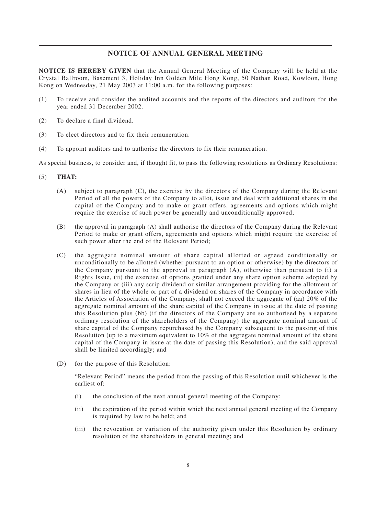### **NOTICE OF ANNUAL GENERAL MEETING**

**NOTICE IS HEREBY GIVEN** that the Annual General Meeting of the Company will be held at the Crystal Ballroom, Basement 3, Holiday Inn Golden Mile Hong Kong, 50 Nathan Road, Kowloon, Hong Kong on Wednesday, 21 May 2003 at 11:00 a.m. for the following purposes:

- (1) To receive and consider the audited accounts and the reports of the directors and auditors for the year ended 31 December 2002.
- (2) To declare a final dividend.
- (3) To elect directors and to fix their remuneration.
- (4) To appoint auditors and to authorise the directors to fix their remuneration.

As special business, to consider and, if thought fit, to pass the following resolutions as Ordinary Resolutions:

- (5) **THAT:**
	- (A) subject to paragraph (C), the exercise by the directors of the Company during the Relevant Period of all the powers of the Company to allot, issue and deal with additional shares in the capital of the Company and to make or grant offers, agreements and options which might require the exercise of such power be generally and unconditionally approved;
	- (B) the approval in paragraph (A) shall authorise the directors of the Company during the Relevant Period to make or grant offers, agreements and options which might require the exercise of such power after the end of the Relevant Period;
	- (C) the aggregate nominal amount of share capital allotted or agreed conditionally or unconditionally to be allotted (whether pursuant to an option or otherwise) by the directors of the Company pursuant to the approval in paragraph (A), otherwise than pursuant to (i) a Rights Issue, (ii) the exercise of options granted under any share option scheme adopted by the Company or (iii) any scrip dividend or similar arrangement providing for the allotment of shares in lieu of the whole or part of a dividend on shares of the Company in accordance with the Articles of Association of the Company, shall not exceed the aggregate of (aa) 20% of the aggregate nominal amount of the share capital of the Company in issue at the date of passing this Resolution plus (bb) (if the directors of the Company are so authorised by a separate ordinary resolution of the shareholders of the Company) the aggregate nominal amount of share capital of the Company repurchased by the Company subsequent to the passing of this Resolution (up to a maximum equivalent to 10% of the aggregate nominal amount of the share capital of the Company in issue at the date of passing this Resolution), and the said approval shall be limited accordingly; and
	- (D) for the purpose of this Resolution:

"Relevant Period" means the period from the passing of this Resolution until whichever is the earliest of:

- (i) the conclusion of the next annual general meeting of the Company;
- (ii) the expiration of the period within which the next annual general meeting of the Company is required by law to be held; and
- (iii) the revocation or variation of the authority given under this Resolution by ordinary resolution of the shareholders in general meeting; and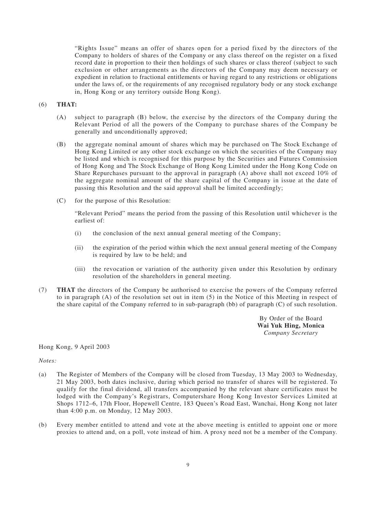"Rights Issue" means an offer of shares open for a period fixed by the directors of the Company to holders of shares of the Company or any class thereof on the register on a fixed record date in proportion to their then holdings of such shares or class thereof (subject to such exclusion or other arrangements as the directors of the Company may deem necessary or expedient in relation to fractional entitlements or having regard to any restrictions or obligations under the laws of, or the requirements of any recognised regulatory body or any stock exchange in, Hong Kong or any territory outside Hong Kong).

#### (6) **THAT:**

- (A) subject to paragraph (B) below, the exercise by the directors of the Company during the Relevant Period of all the powers of the Company to purchase shares of the Company be generally and unconditionally approved;
- (B) the aggregate nominal amount of shares which may be purchased on The Stock Exchange of Hong Kong Limited or any other stock exchange on which the securities of the Company may be listed and which is recognised for this purpose by the Securities and Futures Commission of Hong Kong and The Stock Exchange of Hong Kong Limited under the Hong Kong Code on Share Repurchases pursuant to the approval in paragraph (A) above shall not exceed 10% of the aggregate nominal amount of the share capital of the Company in issue at the date of passing this Resolution and the said approval shall be limited accordingly;
- (C) for the purpose of this Resolution:

"Relevant Period" means the period from the passing of this Resolution until whichever is the earliest of:

- (i) the conclusion of the next annual general meeting of the Company;
- (ii) the expiration of the period within which the next annual general meeting of the Company is required by law to be held; and
- (iii) the revocation or variation of the authority given under this Resolution by ordinary resolution of the shareholders in general meeting.
- (7) **THAT** the directors of the Company be authorised to exercise the powers of the Company referred to in paragraph (A) of the resolution set out in item (5) in the Notice of this Meeting in respect of the share capital of the Company referred to in sub-paragraph (bb) of paragraph (C) of such resolution.

By Order of the Board **Wai Yuk Hing, Monica** *Company Secretary*

#### Hong Kong, 9 April 2003

*Notes:*

- (a) The Register of Members of the Company will be closed from Tuesday, 13 May 2003 to Wednesday, 21 May 2003, both dates inclusive, during which period no transfer of shares will be registered. To qualify for the final dividend, all transfers accompanied by the relevant share certificates must be lodged with the Company's Registrars, Computershare Hong Kong Investor Services Limited at Shops 1712–6, 17th Floor, Hopewell Centre, 183 Queen's Road East, Wanchai, Hong Kong not later than 4:00 p.m. on Monday, 12 May 2003.
- (b) Every member entitled to attend and vote at the above meeting is entitled to appoint one or more proxies to attend and, on a poll, vote instead of him. A proxy need not be a member of the Company.